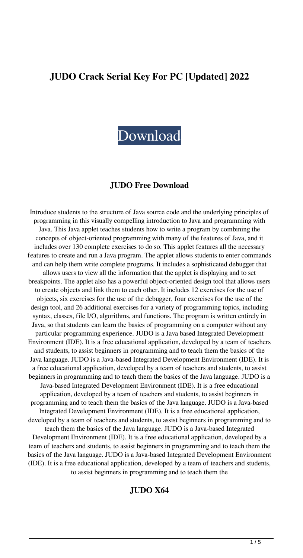# **JUDO Crack Serial Key For PC [Updated] 2022**



#### **JUDO Free Download**

Introduce students to the structure of Java source code and the underlying principles of programming in this visually compelling introduction to Java and programming with Java. This Java applet teaches students how to write a program by combining the concepts of object-oriented programming with many of the features of Java, and it includes over 130 complete exercises to do so. This applet features all the necessary features to create and run a Java program. The applet allows students to enter commands and can help them write complete programs. It includes a sophisticated debugger that allows users to view all the information that the applet is displaying and to set breakpoints. The applet also has a powerful object-oriented design tool that allows users to create objects and link them to each other. It includes 12 exercises for the use of objects, six exercises for the use of the debugger, four exercises for the use of the design tool, and 26 additional exercises for a variety of programming topics, including syntax, classes, file I/O, algorithms, and functions. The program is written entirely in Java, so that students can learn the basics of programming on a computer without any particular programming experience. JUDO is a Java based Integrated Development Environment (IDE). It is a free educational application, developed by a team of teachers and students, to assist beginners in programming and to teach them the basics of the Java language. JUDO is a Java-based Integrated Development Environment (IDE). It is a free educational application, developed by a team of teachers and students, to assist beginners in programming and to teach them the basics of the Java language. JUDO is a Java-based Integrated Development Environment (IDE). It is a free educational application, developed by a team of teachers and students, to assist beginners in programming and to teach them the basics of the Java language. JUDO is a Java-based Integrated Development Environment (IDE). It is a free educational application, developed by a team of teachers and students, to assist beginners in programming and to teach them the basics of the Java language. JUDO is a Java-based Integrated Development Environment (IDE). It is a free educational application, developed by a team of teachers and students, to assist beginners in programming and to teach them the basics of the Java language. JUDO is a Java-based Integrated Development Environment (IDE). It is a free educational application, developed by a team of teachers and students, to assist beginners in programming and to teach them the

#### **JUDO X64**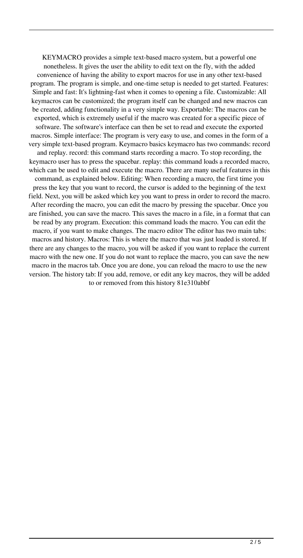KEYMACRO provides a simple text-based macro system, but a powerful one nonetheless. It gives the user the ability to edit text on the fly, with the added convenience of having the ability to export macros for use in any other text-based program. The program is simple, and one-time setup is needed to get started. Features: Simple and fast: It's lightning-fast when it comes to opening a file. Customizable: All keymacros can be customized; the program itself can be changed and new macros can be created, adding functionality in a very simple way. Exportable: The macros can be exported, which is extremely useful if the macro was created for a specific piece of software. The software's interface can then be set to read and execute the exported macros. Simple interface: The program is very easy to use, and comes in the form of a very simple text-based program. Keymacro basics keymacro has two commands: record and replay. record: this command starts recording a macro. To stop recording, the keymacro user has to press the spacebar. replay: this command loads a recorded macro, which can be used to edit and execute the macro. There are many useful features in this command, as explained below. Editing: When recording a macro, the first time you press the key that you want to record, the cursor is added to the beginning of the text field. Next, you will be asked which key you want to press in order to record the macro. After recording the macro, you can edit the macro by pressing the spacebar. Once you are finished, you can save the macro. This saves the macro in a file, in a format that can be read by any program. Execution: this command loads the macro. You can edit the macro, if you want to make changes. The macro editor The editor has two main tabs: macros and history. Macros: This is where the macro that was just loaded is stored. If there are any changes to the macro, you will be asked if you want to replace the current macro with the new one. If you do not want to replace the macro, you can save the new macro in the macros tab. Once you are done, you can reload the macro to use the new version. The history tab: If you add, remove, or edit any key macros, they will be added to or removed from this history 81e310abbf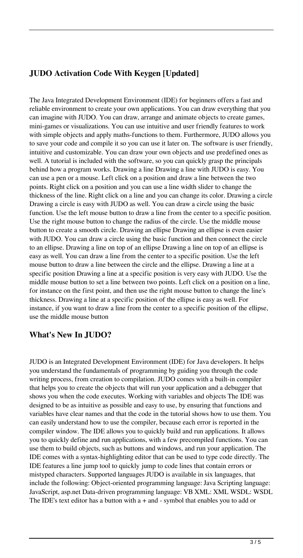# **JUDO Activation Code With Keygen [Updated]**

The Java Integrated Development Environment (IDE) for beginners offers a fast and reliable environment to create your own applications. You can draw everything that you can imagine with JUDO. You can draw, arrange and animate objects to create games, mini-games or visualizations. You can use intuitive and user friendly features to work with simple objects and apply maths-functions to them. Furthermore, JUDO allows you to save your code and compile it so you can use it later on. The software is user friendly, intuitive and customizable. You can draw your own objects and use predefined ones as well. A tutorial is included with the software, so you can quickly grasp the principals behind how a program works. Drawing a line Drawing a line with JUDO is easy. You can use a pen or a mouse. Left click on a position and draw a line between the two points. Right click on a position and you can use a line width slider to change the thickness of the line. Right click on a line and you can change its color. Drawing a circle Drawing a circle is easy with JUDO as well. You can draw a circle using the basic function. Use the left mouse button to draw a line from the center to a specific position. Use the right mouse button to change the radius of the circle. Use the middle mouse button to create a smooth circle. Drawing an ellipse Drawing an ellipse is even easier with JUDO. You can draw a circle using the basic function and then connect the circle to an ellipse. Drawing a line on top of an ellipse Drawing a line on top of an ellipse is easy as well. You can draw a line from the center to a specific position. Use the left mouse button to draw a line between the circle and the ellipse. Drawing a line at a specific position Drawing a line at a specific position is very easy with JUDO. Use the middle mouse button to set a line between two points. Left click on a position on a line, for instance on the first point, and then use the right mouse button to change the line's thickness. Drawing a line at a specific position of the ellipse is easy as well. For instance, if you want to draw a line from the center to a specific position of the ellipse, use the middle mouse button

#### **What's New In JUDO?**

JUDO is an Integrated Development Environment (IDE) for Java developers. It helps you understand the fundamentals of programming by guiding you through the code writing process, from creation to compilation. JUDO comes with a built-in compiler that helps you to create the objects that will run your application and a debugger that shows you when the code executes. Working with variables and objects The IDE was designed to be as intuitive as possible and easy to use, by ensuring that functions and variables have clear names and that the code in the tutorial shows how to use them. You can easily understand how to use the compiler, because each error is reported in the compiler window. The IDE allows you to quickly build and run applications. It allows you to quickly define and run applications, with a few precompiled functions. You can use them to build objects, such as buttons and windows, and run your application. The IDE comes with a syntax-highlighting editor that can be used to type code directly. The IDE features a line jump tool to quickly jump to code lines that contain errors or mistyped characters. Supported languages JUDO is available in six languages, that include the following: Object-oriented programming language: Java Scripting language: JavaScript, asp.net Data-driven programming language: VB XML: XML WSDL: WSDL The IDE's text editor has a button with  $a +$  and - symbol that enables you to add or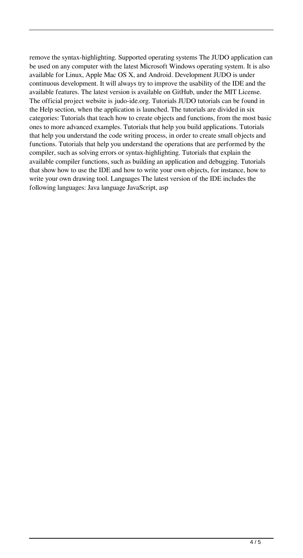remove the syntax-highlighting. Supported operating systems The JUDO application can be used on any computer with the latest Microsoft Windows operating system. It is also available for Linux, Apple Mac OS X, and Android. Development JUDO is under continuous development. It will always try to improve the usability of the IDE and the available features. The latest version is available on GitHub, under the MIT License. The official project website is judo-ide.org. Tutorials JUDO tutorials can be found in the Help section, when the application is launched. The tutorials are divided in six categories: Tutorials that teach how to create objects and functions, from the most basic ones to more advanced examples. Tutorials that help you build applications. Tutorials that help you understand the code writing process, in order to create small objects and functions. Tutorials that help you understand the operations that are performed by the compiler, such as solving errors or syntax-highlighting. Tutorials that explain the available compiler functions, such as building an application and debugging. Tutorials that show how to use the IDE and how to write your own objects, for instance, how to write your own drawing tool. Languages The latest version of the IDE includes the following languages: Java language JavaScript, asp